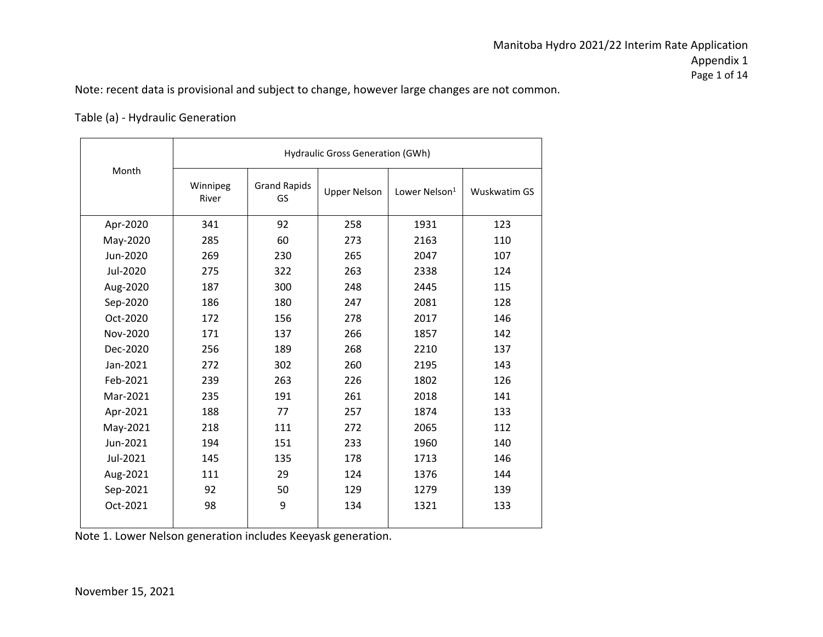Note: recent data is provisional and subject to change, however large changes are not common.

#### Table (a) - Hydraulic Generation

|          |                   |                           | <b>Hydraulic Gross Generation (GWh)</b> |                           |              |
|----------|-------------------|---------------------------|-----------------------------------------|---------------------------|--------------|
| Month    | Winnipeg<br>River | <b>Grand Rapids</b><br>GS | <b>Upper Nelson</b>                     | Lower Nelson <sup>1</sup> | Wuskwatim GS |
| Apr-2020 | 341               | 92                        | 258                                     | 1931                      | 123          |
| May-2020 | 285               | 60                        | 273                                     | 2163                      | 110          |
| Jun-2020 | 269               | 230                       | 265                                     | 2047                      | 107          |
| Jul-2020 | 275               | 322                       | 263                                     | 2338                      | 124          |
| Aug-2020 | 187               | 300                       | 248                                     | 2445                      | 115          |
| Sep-2020 | 186               | 180                       | 247                                     | 2081                      | 128          |
| Oct-2020 | 172               | 156                       | 278                                     | 2017                      | 146          |
| Nov-2020 | 171               | 137                       | 266                                     | 1857                      | 142          |
| Dec-2020 | 256               | 189                       | 268                                     | 2210                      | 137          |
| Jan-2021 | 272               | 302                       | 260                                     | 2195                      | 143          |
| Feb-2021 | 239               | 263                       | 226                                     | 1802                      | 126          |
| Mar-2021 | 235               | 191                       | 261                                     | 2018                      | 141          |
| Apr-2021 | 188               | 77                        | 257                                     | 1874                      | 133          |
| May-2021 | 218               | 111                       | 272                                     | 2065                      | 112          |
| Jun-2021 | 194               | 151                       | 233                                     | 1960                      | 140          |
| Jul-2021 | 145               | 135                       | 178                                     | 1713                      | 146          |
| Aug-2021 | 111               | 29                        | 124                                     | 1376                      | 144          |
| Sep-2021 | 92                | 50                        | 129                                     | 1279                      | 139          |
| Oct-2021 | 98                | 9                         | 134                                     | 1321                      | 133          |

Note 1. Lower Nelson generation includes Keeyask generation.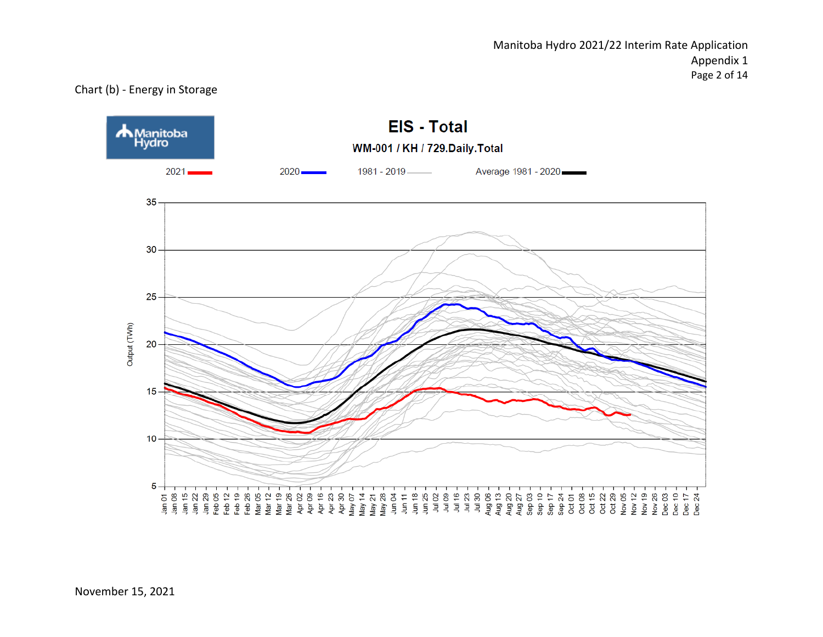Manitoba Hydro 2021/22 Interim Rate Application Appendix 1 Page 2 of 14

#### Chart (b) - Energy in Storage

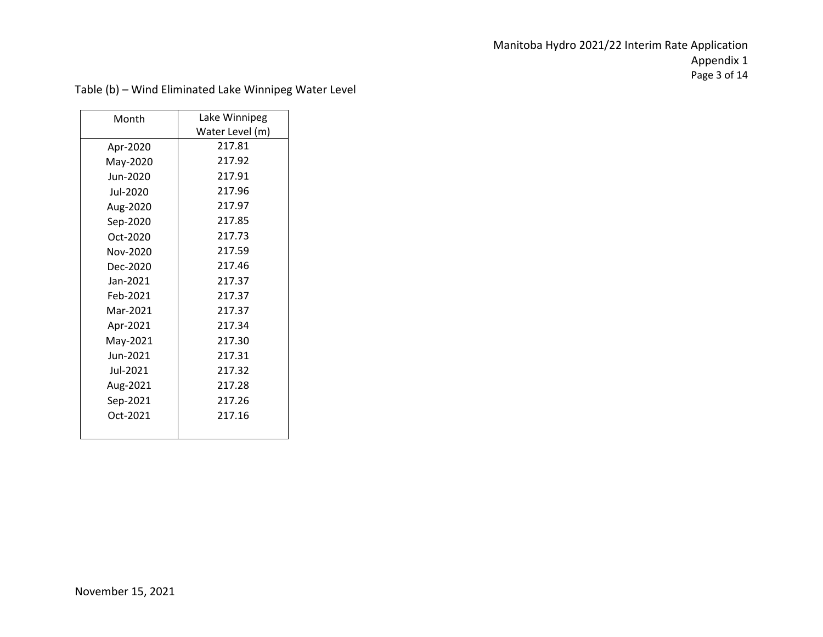# Manitoba Hydro 2021/22 Interim Rate Application Appendix 1 Page 3 of 14

| Month    | Lake Winnipeg   |
|----------|-----------------|
|          | Water Level (m) |
| Apr-2020 | 217.81          |
| May-2020 | 217.92          |
| Jun-2020 | 217.91          |
| Jul-2020 | 217.96          |
| Aug-2020 | 217.97          |
| Sep-2020 | 217.85          |
| Oct-2020 | 217.73          |
| Nov-2020 | 217.59          |
| Dec-2020 | 217.46          |
| Jan-2021 | 217.37          |
| Feb-2021 | 217.37          |
| Mar-2021 | 217.37          |
| Apr-2021 | 217.34          |
| May-2021 | 217.30          |
| Jun-2021 | 217.31          |
| Jul-2021 | 217.32          |
| Aug-2021 | 217.28          |
| Sep-2021 | 217.26          |
| Oct-2021 | 217.16          |
|          |                 |

Table (b) – Wind Eliminated Lake Winnipeg Water Level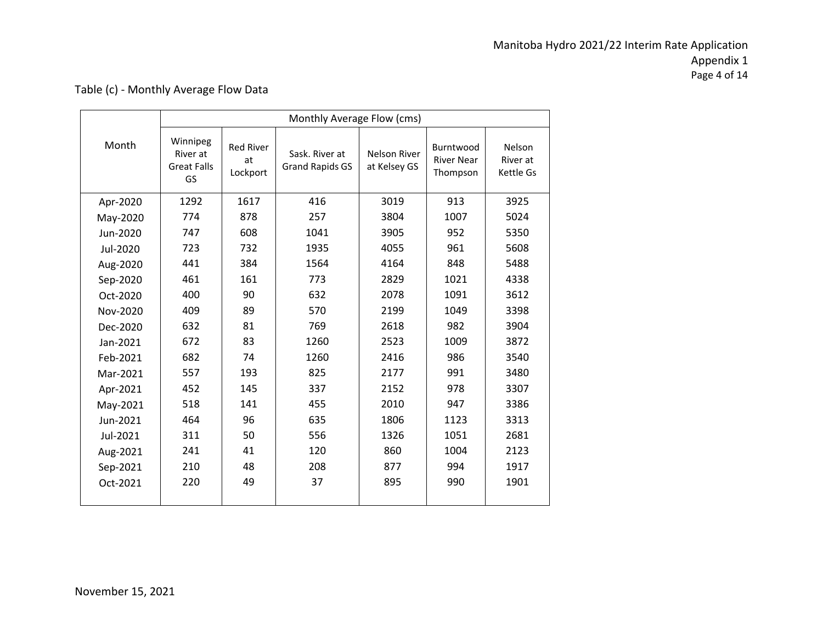# Manitoba Hydro 2021/22 Interim Rate Application Appendix 1 Page 4 of 14

| Table (c) - Monthly Average Flow Data |  |
|---------------------------------------|--|
|---------------------------------------|--|

|          | Monthly Average Flow (cms)                       |                                    |                                          |                              |                                            |                                 |  |  |  |
|----------|--------------------------------------------------|------------------------------------|------------------------------------------|------------------------------|--------------------------------------------|---------------------------------|--|--|--|
| Month    | Winnipeg<br>River at<br><b>Great Falls</b><br>GS | <b>Red River</b><br>at<br>Lockport | Sask. River at<br><b>Grand Rapids GS</b> | Nelson River<br>at Kelsey GS | Burntwood<br><b>River Near</b><br>Thompson | Nelson<br>River at<br>Kettle Gs |  |  |  |
| Apr-2020 | 1292                                             | 1617                               | 416                                      | 3019                         | 913                                        | 3925                            |  |  |  |
| May-2020 | 774                                              | 878                                | 257                                      | 3804                         | 1007                                       | 5024                            |  |  |  |
| Jun-2020 | 747                                              | 608                                | 1041                                     | 3905                         | 952                                        | 5350                            |  |  |  |
| Jul-2020 | 723                                              | 732                                | 1935                                     | 4055                         | 961                                        | 5608                            |  |  |  |
| Aug-2020 | 441                                              | 384                                | 1564                                     | 4164                         | 848                                        | 5488                            |  |  |  |
| Sep-2020 | 461                                              | 161                                | 773                                      | 2829                         | 1021                                       | 4338                            |  |  |  |
| Oct-2020 | 400                                              | 90                                 | 632                                      | 2078                         | 1091                                       | 3612                            |  |  |  |
| Nov-2020 | 409                                              | 89                                 | 570                                      | 2199                         | 1049                                       | 3398                            |  |  |  |
| Dec-2020 | 632                                              | 81                                 | 769                                      | 2618                         | 982                                        | 3904                            |  |  |  |
| Jan-2021 | 672                                              | 83                                 | 1260                                     | 2523                         | 1009                                       | 3872                            |  |  |  |
| Feb-2021 | 682                                              | 74                                 | 1260                                     | 2416                         | 986                                        | 3540                            |  |  |  |
| Mar-2021 | 557                                              | 193                                | 825                                      | 2177                         | 991                                        | 3480                            |  |  |  |
| Apr-2021 | 452                                              | 145                                | 337                                      | 2152                         | 978                                        | 3307                            |  |  |  |
| May-2021 | 518                                              | 141                                | 455                                      | 2010                         | 947                                        | 3386                            |  |  |  |
| Jun-2021 | 464                                              | 96                                 | 635                                      | 1806                         | 1123                                       | 3313                            |  |  |  |
| Jul-2021 | 311                                              | 50                                 | 556                                      | 1326                         | 1051                                       | 2681                            |  |  |  |
| Aug-2021 | 241                                              | 41                                 | 120                                      | 860                          | 1004                                       | 2123                            |  |  |  |
| Sep-2021 | 210                                              | 48                                 | 208                                      | 877                          | 994                                        | 1917                            |  |  |  |
| Oct-2021 | 220                                              | 49                                 | 37                                       | 895                          | 990                                        | 1901                            |  |  |  |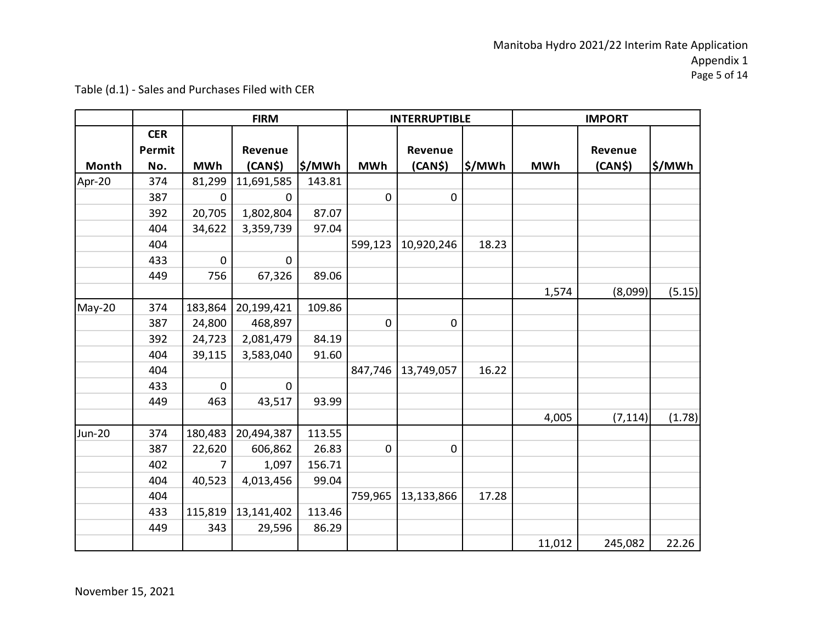|               |            |             | <b>FIRM</b>    |        | <b>INTERRUPTIBLE</b> |                     | <b>IMPORT</b> |            |          |        |
|---------------|------------|-------------|----------------|--------|----------------------|---------------------|---------------|------------|----------|--------|
|               | <b>CER</b> |             |                |        |                      |                     |               |            |          |        |
|               | Permit     |             | Revenue        |        |                      | Revenue             |               |            | Revenue  |        |
| Month         | No.        | <b>MWh</b>  | (CAN\$)        | \$/MWh | <b>MWh</b>           | (CAN <sub>5</sub> ) | ∣\$/MWh       | <b>MWh</b> | (CAN\$)  | \$/MWh |
| Apr-20        | 374        | 81,299      | 11,691,585     | 143.81 |                      |                     |               |            |          |        |
|               | 387        | 0           | 0              |        | $\mathbf 0$          | $\mathbf 0$         |               |            |          |        |
|               | 392        | 20,705      | 1,802,804      | 87.07  |                      |                     |               |            |          |        |
|               | 404        | 34,622      | 3,359,739      | 97.04  |                      |                     |               |            |          |        |
|               | 404        |             |                |        | 599,123              | 10,920,246          | 18.23         |            |          |        |
|               | 433        | 0           | $\overline{0}$ |        |                      |                     |               |            |          |        |
|               | 449        | 756         | 67,326         | 89.06  |                      |                     |               |            |          |        |
|               |            |             |                |        |                      |                     |               | 1,574      | (8,099)  | (5.15) |
| May-20        | 374        | 183,864     | 20,199,421     | 109.86 |                      |                     |               |            |          |        |
|               | 387        | 24,800      | 468,897        |        | 0                    | 0                   |               |            |          |        |
|               | 392        | 24,723      | 2,081,479      | 84.19  |                      |                     |               |            |          |        |
|               | 404        | 39,115      | 3,583,040      | 91.60  |                      |                     |               |            |          |        |
|               | 404        |             |                |        | 847,746              | 13,749,057          | 16.22         |            |          |        |
|               | 433        | $\mathbf 0$ | $\mathbf 0$    |        |                      |                     |               |            |          |        |
|               | 449        | 463         | 43,517         | 93.99  |                      |                     |               |            |          |        |
|               |            |             |                |        |                      |                     |               | 4,005      | (7, 114) | (1.78) |
| <b>Jun-20</b> | 374        | 180,483     | 20,494,387     | 113.55 |                      |                     |               |            |          |        |
|               | 387        | 22,620      | 606,862        | 26.83  | 0                    | $\pmb{0}$           |               |            |          |        |
|               | 402        | 7           | 1,097          | 156.71 |                      |                     |               |            |          |        |
|               | 404        | 40,523      | 4,013,456      | 99.04  |                      |                     |               |            |          |        |
|               | 404        |             |                |        | 759,965              | 13,133,866          | 17.28         |            |          |        |
|               | 433        | 115,819     | 13,141,402     | 113.46 |                      |                     |               |            |          |        |
|               | 449        | 343         | 29,596         | 86.29  |                      |                     |               |            |          |        |
|               |            |             |                |        |                      |                     |               | 11,012     | 245,082  | 22.26  |

Table (d.1) - Sales and Purchases Filed with CER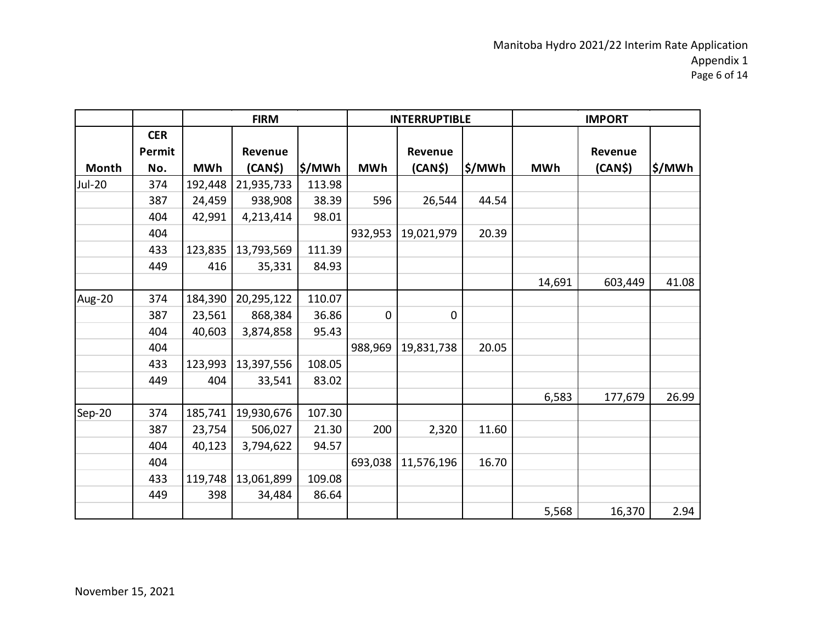|               |            |            | <b>FIRM</b> |        |             | <b>INTERRUPTIBLE</b> |        |            | <b>IMPORT</b> |        |  |
|---------------|------------|------------|-------------|--------|-------------|----------------------|--------|------------|---------------|--------|--|
|               | <b>CER</b> |            |             |        |             |                      |        |            |               |        |  |
|               | Permit     |            | Revenue     |        |             | Revenue              |        |            | Revenue       |        |  |
| Month         | No.        | <b>MWh</b> | (CAN\$)     | \$/MWh | <b>MWh</b>  | (CAN\$)              | \$/MWh | <b>MWh</b> | (CAN\$)       | \$/MWh |  |
| <b>Jul-20</b> | 374        | 192,448    | 21,935,733  | 113.98 |             |                      |        |            |               |        |  |
|               | 387        | 24,459     | 938,908     | 38.39  | 596         | 26,544               | 44.54  |            |               |        |  |
|               | 404        | 42,991     | 4,213,414   | 98.01  |             |                      |        |            |               |        |  |
|               | 404        |            |             |        | 932,953     | 19,021,979           | 20.39  |            |               |        |  |
|               | 433        | 123,835    | 13,793,569  | 111.39 |             |                      |        |            |               |        |  |
|               | 449        | 416        | 35,331      | 84.93  |             |                      |        |            |               |        |  |
|               |            |            |             |        |             |                      |        | 14,691     | 603,449       | 41.08  |  |
| Aug-20        | 374        | 184,390    | 20,295,122  | 110.07 |             |                      |        |            |               |        |  |
|               | 387        | 23,561     | 868,384     | 36.86  | $\mathbf 0$ | $\mathbf 0$          |        |            |               |        |  |
|               | 404        | 40,603     | 3,874,858   | 95.43  |             |                      |        |            |               |        |  |
|               | 404        |            |             |        | 988,969     | 19,831,738           | 20.05  |            |               |        |  |
|               | 433        | 123,993    | 13,397,556  | 108.05 |             |                      |        |            |               |        |  |
|               | 449        | 404        | 33,541      | 83.02  |             |                      |        |            |               |        |  |
|               |            |            |             |        |             |                      |        | 6,583      | 177,679       | 26.99  |  |
| Sep-20        | 374        | 185,741    | 19,930,676  | 107.30 |             |                      |        |            |               |        |  |
|               | 387        | 23,754     | 506,027     | 21.30  | 200         | 2,320                | 11.60  |            |               |        |  |
|               | 404        | 40,123     | 3,794,622   | 94.57  |             |                      |        |            |               |        |  |
|               | 404        |            |             |        | 693,038     | 11,576,196           | 16.70  |            |               |        |  |
|               | 433        | 119,748    | 13,061,899  | 109.08 |             |                      |        |            |               |        |  |
|               | 449        | 398        | 34,484      | 86.64  |             |                      |        |            |               |        |  |
|               |            |            |             |        |             |                      |        | 5,568      | 16,370        | 2.94   |  |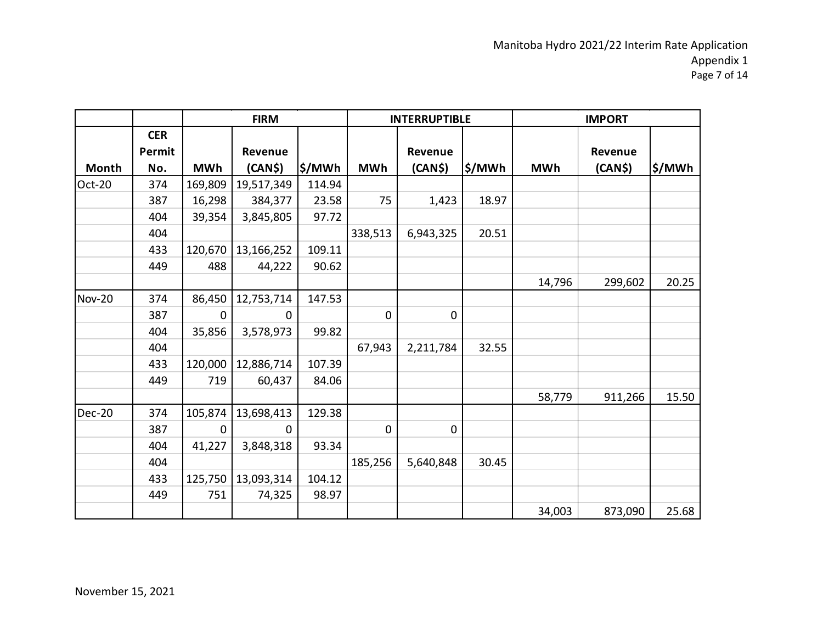|               |            |             | <b>FIRM</b> |        |             | <b>INTERRUPTIBLE</b> |         | <b>IMPORT</b> |         |        |
|---------------|------------|-------------|-------------|--------|-------------|----------------------|---------|---------------|---------|--------|
|               | <b>CER</b> |             |             |        |             |                      |         |               |         |        |
|               | Permit     |             | Revenue     |        |             | Revenue              |         |               | Revenue |        |
| Month         | No.        | <b>MWh</b>  | (CAN\$)     | \$/MWh | <b>MWh</b>  | (CAN\$)              | ∣\$/MWh | <b>MWh</b>    | (CAN\$) | \$/MWh |
| Oct-20        | 374        | 169,809     | 19,517,349  | 114.94 |             |                      |         |               |         |        |
|               | 387        | 16,298      | 384,377     | 23.58  | 75          | 1,423                | 18.97   |               |         |        |
|               | 404        | 39,354      | 3,845,805   | 97.72  |             |                      |         |               |         |        |
|               | 404        |             |             |        | 338,513     | 6,943,325            | 20.51   |               |         |        |
|               | 433        | 120,670     | 13,166,252  | 109.11 |             |                      |         |               |         |        |
|               | 449        | 488         | 44,222      | 90.62  |             |                      |         |               |         |        |
|               |            |             |             |        |             |                      |         | 14,796        | 299,602 | 20.25  |
| <b>Nov-20</b> | 374        | 86,450      | 12,753,714  | 147.53 |             |                      |         |               |         |        |
|               | 387        | $\Omega$    | 0           |        | 0           | $\pmb{0}$            |         |               |         |        |
|               | 404        | 35,856      | 3,578,973   | 99.82  |             |                      |         |               |         |        |
|               | 404        |             |             |        | 67,943      | 2,211,784            | 32.55   |               |         |        |
|               | 433        | 120,000     | 12,886,714  | 107.39 |             |                      |         |               |         |        |
|               | 449        | 719         | 60,437      | 84.06  |             |                      |         |               |         |        |
|               |            |             |             |        |             |                      |         | 58,779        | 911,266 | 15.50  |
| $Dec-20$      | 374        | 105,874     | 13,698,413  | 129.38 |             |                      |         |               |         |        |
|               | 387        | $\mathbf 0$ | 0           |        | $\mathbf 0$ | 0                    |         |               |         |        |
|               | 404        | 41,227      | 3,848,318   | 93.34  |             |                      |         |               |         |        |
|               | 404        |             |             |        | 185,256     | 5,640,848            | 30.45   |               |         |        |
|               | 433        | 125,750     | 13,093,314  | 104.12 |             |                      |         |               |         |        |
|               | 449        | 751         | 74,325      | 98.97  |             |                      |         |               |         |        |
|               |            |             |             |        |             |                      |         | 34,003        | 873,090 | 25.68  |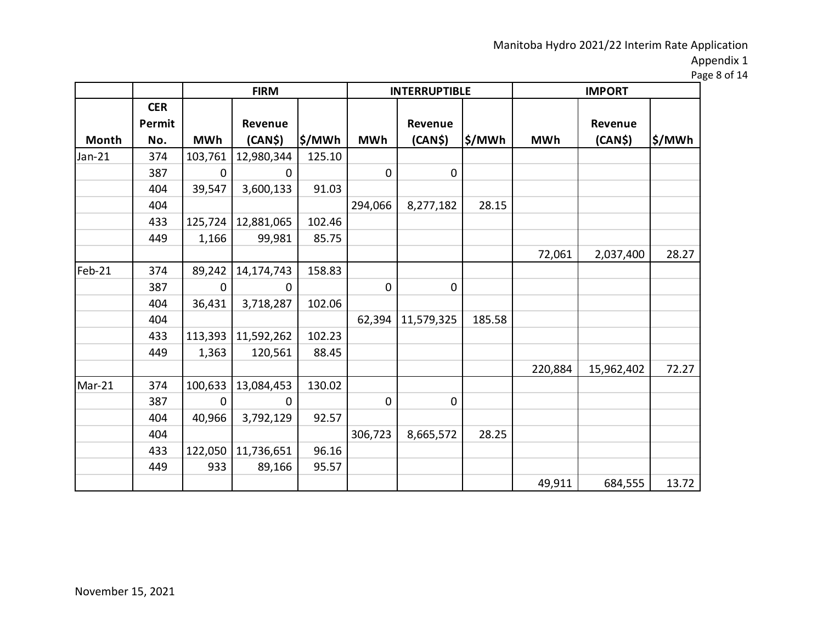Page 8 of 14

|          |                      |             | <b>FIRM</b> |         |                | <b>INTERRUPTIBLE</b> |         | <b>IMPORT</b> |            |        |
|----------|----------------------|-------------|-------------|---------|----------------|----------------------|---------|---------------|------------|--------|
|          | <b>CER</b><br>Permit |             | Revenue     |         |                | <b>Revenue</b>       |         |               | Revenue    |        |
| Month    | No.                  | <b>MWh</b>  | (CAN\$)     | ∣\$/MWh | <b>MWh</b>     | (CAN\$)              | ∣\$/MWh | <b>MWh</b>    | (CAN\$)    | \$/MWh |
| $Jan-21$ | 374                  | 103,761     | 12,980,344  | 125.10  |                |                      |         |               |            |        |
|          | 387                  | 0           | 0           |         | $\mathbf 0$    | $\pmb{0}$            |         |               |            |        |
|          | 404                  | 39,547      | 3,600,133   | 91.03   |                |                      |         |               |            |        |
|          | 404                  |             |             |         | 294,066        | 8,277,182            | 28.15   |               |            |        |
|          | 433                  | 125,724     | 12,881,065  | 102.46  |                |                      |         |               |            |        |
|          | 449                  | 1,166       | 99,981      | 85.75   |                |                      |         |               |            |        |
|          |                      |             |             |         |                |                      |         | 72,061        | 2,037,400  | 28.27  |
| Feb-21   | 374                  | 89,242      | 14,174,743  | 158.83  |                |                      |         |               |            |        |
|          | 387                  | $\mathbf 0$ | 0           |         | $\overline{0}$ | 0                    |         |               |            |        |
|          | 404                  | 36,431      | 3,718,287   | 102.06  |                |                      |         |               |            |        |
|          | 404                  |             |             |         | 62,394         | 11,579,325           | 185.58  |               |            |        |
|          | 433                  | 113,393     | 11,592,262  | 102.23  |                |                      |         |               |            |        |
|          | 449                  | 1,363       | 120,561     | 88.45   |                |                      |         |               |            |        |
|          |                      |             |             |         |                |                      |         | 220,884       | 15,962,402 | 72.27  |
| Mar-21   | 374                  | 100,633     | 13,084,453  | 130.02  |                |                      |         |               |            |        |
|          | 387                  | 0           | 0           |         | $\overline{0}$ | 0                    |         |               |            |        |
|          | 404                  | 40,966      | 3,792,129   | 92.57   |                |                      |         |               |            |        |
|          | 404                  |             |             |         | 306,723        | 8,665,572            | 28.25   |               |            |        |
|          | 433                  | 122,050     | 11,736,651  | 96.16   |                |                      |         |               |            |        |
|          | 449                  | 933         | 89,166      | 95.57   |                |                      |         |               |            |        |
|          |                      |             |             |         |                |                      |         | 49,911        | 684,555    | 13.72  |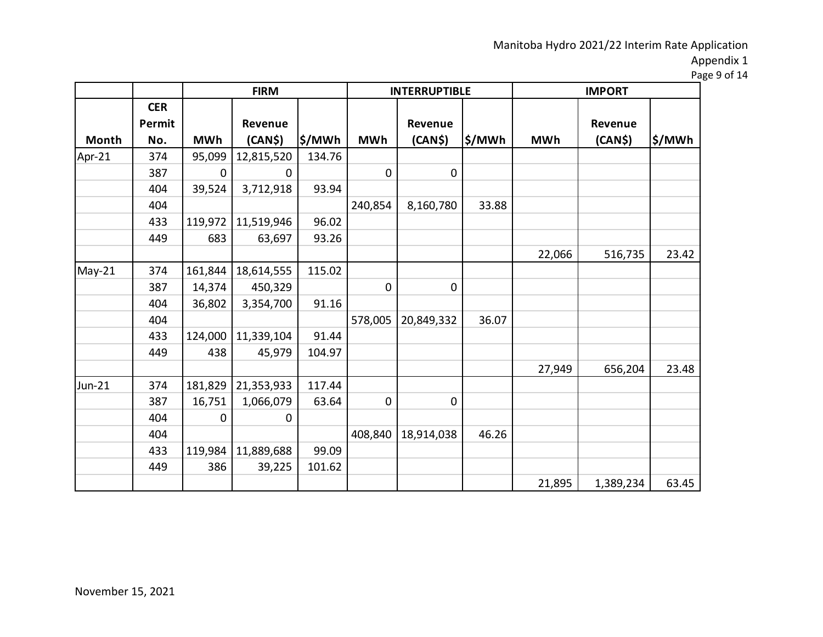Page 9 of 14

|          |                      | <b>FIRM</b> |            |         |                | <b>INTERRUPTIBLE</b> |         | <b>IMPORT</b> |                     |        |
|----------|----------------------|-------------|------------|---------|----------------|----------------------|---------|---------------|---------------------|--------|
|          | <b>CER</b><br>Permit |             | Revenue    |         |                | <b>Revenue</b>       |         |               | Revenue             |        |
| Month    | No.                  | <b>MWh</b>  | (CAN\$)    | ∣\$/MWh | <b>MWh</b>     | (CAN\$)              | ∣\$/MWh | <b>MWh</b>    | (CAN <sub>5</sub> ) | \$/MWh |
| Apr-21   | 374                  | 95,099      | 12,815,520 | 134.76  |                |                      |         |               |                     |        |
|          | 387                  | 0           | 0          |         | $\mathbf 0$    | $\pmb{0}$            |         |               |                     |        |
|          | 404                  | 39,524      | 3,712,918  | 93.94   |                |                      |         |               |                     |        |
|          | 404                  |             |            |         | 240,854        | 8,160,780            | 33.88   |               |                     |        |
|          | 433                  | 119,972     | 11,519,946 | 96.02   |                |                      |         |               |                     |        |
|          | 449                  | 683         | 63,697     | 93.26   |                |                      |         |               |                     |        |
|          |                      |             |            |         |                |                      |         | 22,066        | 516,735             | 23.42  |
| $May-21$ | 374                  | 161,844     | 18,614,555 | 115.02  |                |                      |         |               |                     |        |
|          | 387                  | 14,374      | 450,329    |         | $\overline{0}$ | 0                    |         |               |                     |        |
|          | 404                  | 36,802      | 3,354,700  | 91.16   |                |                      |         |               |                     |        |
|          | 404                  |             |            |         | 578,005        | 20,849,332           | 36.07   |               |                     |        |
|          | 433                  | 124,000     | 11,339,104 | 91.44   |                |                      |         |               |                     |        |
|          | 449                  | 438         | 45,979     | 104.97  |                |                      |         |               |                     |        |
|          |                      |             |            |         |                |                      |         | 27,949        | 656,204             | 23.48  |
| $Jun-21$ | 374                  | 181,829     | 21,353,933 | 117.44  |                |                      |         |               |                     |        |
|          | 387                  | 16,751      | 1,066,079  | 63.64   | $\mathbf 0$    | 0                    |         |               |                     |        |
|          | 404                  | 0           | 0          |         |                |                      |         |               |                     |        |
|          | 404                  |             |            |         | 408,840        | 18,914,038           | 46.26   |               |                     |        |
|          | 433                  | 119,984     | 11,889,688 | 99.09   |                |                      |         |               |                     |        |
|          | 449                  | 386         | 39,225     | 101.62  |                |                      |         |               |                     |        |
|          |                      |             |            |         |                |                      |         | 21,895        | 1,389,234           | 63.45  |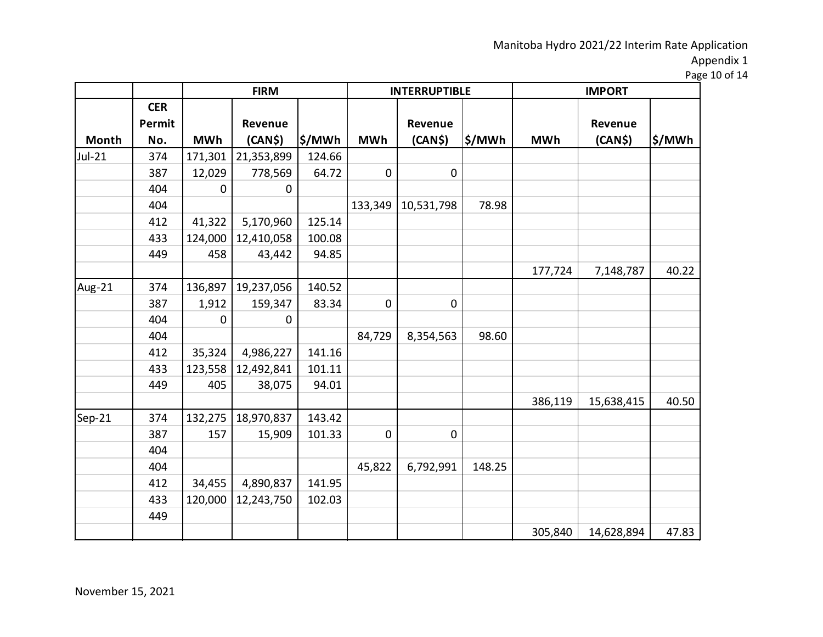Page 10 of 14

|        |            |            | <b>FIRM</b> |        |             | <b>INTERRUPTIBLE</b> |        | <b>IMPORT</b> |                     |        |
|--------|------------|------------|-------------|--------|-------------|----------------------|--------|---------------|---------------------|--------|
|        | <b>CER</b> |            |             |        |             |                      |        |               |                     |        |
|        | Permit     |            | Revenue     |        |             | Revenue              |        |               | Revenue             |        |
| Month  | No.        | <b>MWh</b> | (CAN\$)     | \$/MWh | <b>MWh</b>  | (CAN\$)              | \$/MWh | <b>MWh</b>    | (CAN <sub>5</sub> ) | \$/MWh |
| Jul-21 | 374        | 171,301    | 21,353,899  | 124.66 |             |                      |        |               |                     |        |
|        | 387        | 12,029     | 778,569     | 64.72  | $\mathbf 0$ | $\pmb{0}$            |        |               |                     |        |
|        | 404        | 0          | 0           |        |             |                      |        |               |                     |        |
|        | 404        |            |             |        | 133,349     | 10,531,798           | 78.98  |               |                     |        |
|        | 412        | 41,322     | 5,170,960   | 125.14 |             |                      |        |               |                     |        |
|        | 433        | 124,000    | 12,410,058  | 100.08 |             |                      |        |               |                     |        |
|        | 449        | 458        | 43,442      | 94.85  |             |                      |        |               |                     |        |
|        |            |            |             |        |             |                      |        | 177,724       | 7,148,787           | 40.22  |
| Aug-21 | 374        | 136,897    | 19,237,056  | 140.52 |             |                      |        |               |                     |        |
|        | 387        | 1,912      | 159,347     | 83.34  | 0           | 0                    |        |               |                     |        |
|        | 404        | 0          | 0           |        |             |                      |        |               |                     |        |
|        | 404        |            |             |        | 84,729      | 8,354,563            | 98.60  |               |                     |        |
|        | 412        | 35,324     | 4,986,227   | 141.16 |             |                      |        |               |                     |        |
|        | 433        | 123,558    | 12,492,841  | 101.11 |             |                      |        |               |                     |        |
|        | 449        | 405        | 38,075      | 94.01  |             |                      |        |               |                     |        |
|        |            |            |             |        |             |                      |        | 386,119       | 15,638,415          | 40.50  |
| Sep-21 | 374        | 132,275    | 18,970,837  | 143.42 |             |                      |        |               |                     |        |
|        | 387        | 157        | 15,909      | 101.33 | $\mathbf 0$ | 0                    |        |               |                     |        |
|        | 404        |            |             |        |             |                      |        |               |                     |        |
|        | 404        |            |             |        | 45,822      | 6,792,991            | 148.25 |               |                     |        |
|        | 412        | 34,455     | 4,890,837   | 141.95 |             |                      |        |               |                     |        |
|        | 433        | 120,000    | 12,243,750  | 102.03 |             |                      |        |               |                     |        |
|        | 449        |            |             |        |             |                      |        |               |                     |        |
|        |            |            |             |        |             |                      |        | 305,840       | 14,628,894          | 47.83  |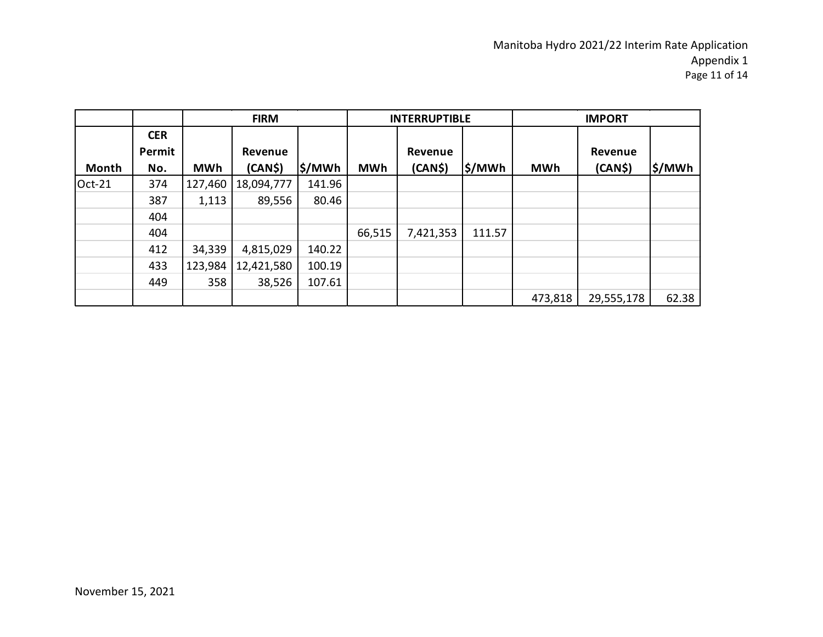|        |            |            | <b>FIRM</b>         |                    |            | <b>INTERRUPTIBLE</b> |         |            | <b>IMPORT</b> |         |
|--------|------------|------------|---------------------|--------------------|------------|----------------------|---------|------------|---------------|---------|
|        | <b>CER</b> |            |                     |                    |            |                      |         |            |               |         |
|        | Permit     |            | Revenue             |                    |            | Revenue              |         |            | Revenue       |         |
| Month  | No.        | <b>MWh</b> | (CAN <sub>5</sub> ) | $\frac{1}{2}$ /MWh | <b>MWh</b> | (CAN <sub>5</sub> )  | ∣\$/MWh | <b>MWh</b> | (CAN\$)       | ∣\$/MWh |
| Oct-21 | 374        | 127,460    | 18,094,777          | 141.96             |            |                      |         |            |               |         |
|        | 387        | 1,113      | 89,556              | 80.46              |            |                      |         |            |               |         |
|        | 404        |            |                     |                    |            |                      |         |            |               |         |
|        | 404        |            |                     |                    | 66,515     | 7,421,353            | 111.57  |            |               |         |
|        | 412        | 34,339     | 4,815,029           | 140.22             |            |                      |         |            |               |         |
|        | 433        | 123,984    | 12,421,580          | 100.19             |            |                      |         |            |               |         |
|        | 449        | 358        | 38,526              | 107.61             |            |                      |         |            |               |         |
|        |            |            |                     |                    |            |                      |         | 473,818    | 29,555,178    | 62.38   |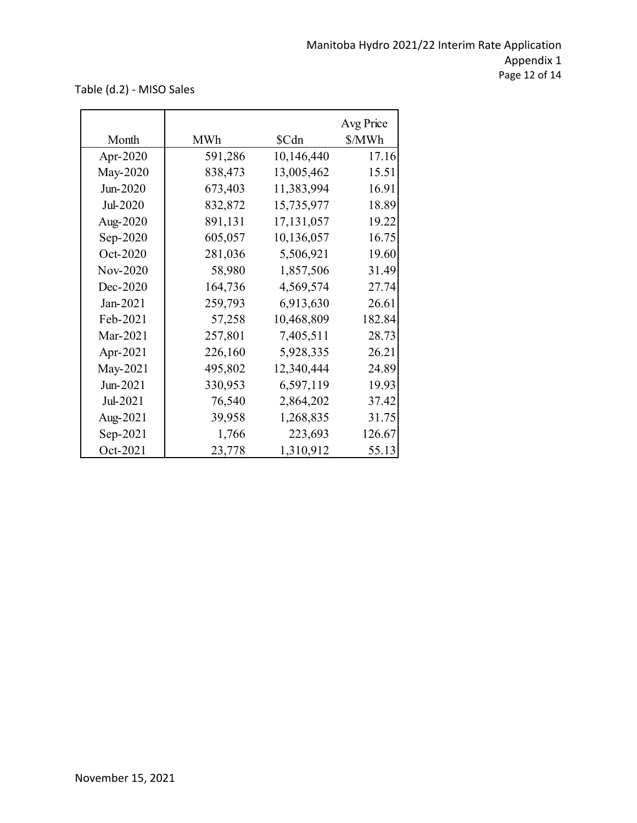Table (d.2) - MISO Sales

| Month      | <b>MWh</b> | \$Cdn      | Avg Price<br>\$/MWh |
|------------|------------|------------|---------------------|
| Apr-2020   | 591,286    | 10,146,440 | 17.16               |
| May-2020   | 838,473    | 13,005,462 | 15.51               |
| Jun-2020   | 673,403    | 11,383,994 | 16.91               |
| Jul-2020   | 832,872    | 15,735,977 | 18.89               |
| Aug-2020   | 891,131    | 17,131,057 | 19.22               |
| Sep-2020   | 605,057    | 10,136,057 | 16.75               |
| Oct-2020   | 281,036    | 5,506,921  | 19.60               |
| Nov-2020   | 58,980     | 1,857,506  | 31.49               |
| Dec-2020   | 164,736    | 4,569,574  | 27.74               |
| $Jan-2021$ | 259,793    | 6,913,630  | 26.61               |
| Feb-2021   | 57,258     | 10,468,809 | 182.84              |
| Mar-2021   | 257,801    | 7,405,511  | 28.73               |
| Apr-2021   | 226,160    | 5,928,335  | 26.21               |
| May-2021   | 495,802    | 12,340,444 | 24.89               |
| Jun-2021   | 330,953    | 6,597,119  | 19.93               |
| Jul-2021   | 76,540     | 2,864,202  | 37.42               |
| Aug-2021   | 39,958     | 1,268,835  | 31.75               |
| Sep-2021   | 1,766      | 223,693    | 126.67              |
| Oct-2021   | 23,778     | 1,310,912  | 55.13               |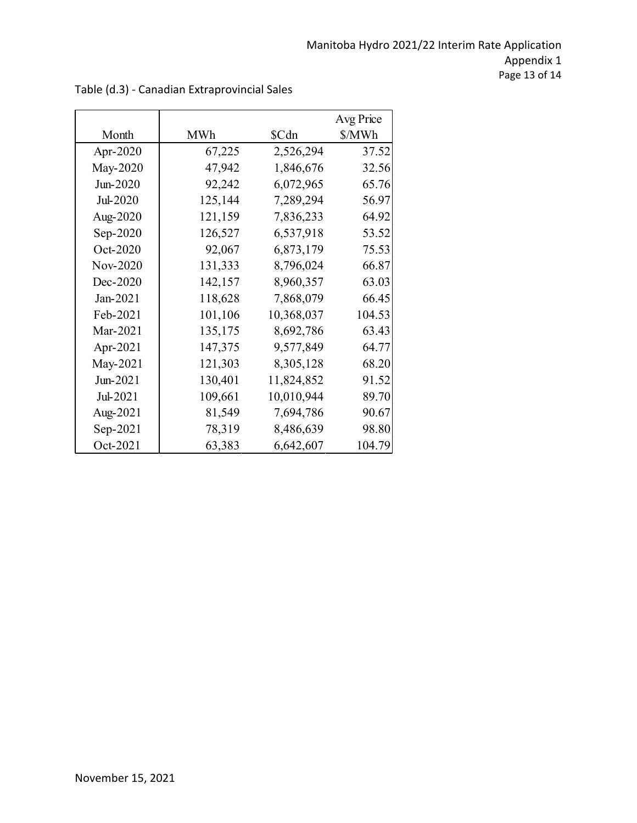|          |            |            | Avg Price |
|----------|------------|------------|-----------|
| Month    | <b>MWh</b> | \$Cdn      | \$/MWh    |
| Apr-2020 | 67,225     | 2,526,294  | 37.52     |
| May-2020 | 47,942     | 1,846,676  | 32.56     |
| Jun-2020 | 92,242     | 6,072,965  | 65.76     |
| Jul-2020 | 125,144    | 7,289,294  | 56.97     |
| Aug-2020 | 121,159    | 7,836,233  | 64.92     |
| Sep-2020 | 126,527    | 6,537,918  | 53.52     |
| Oct-2020 | 92,067     | 6,873,179  | 75.53     |
| Nov-2020 | 131,333    | 8,796,024  | 66.87     |
| Dec-2020 | 142,157    | 8,960,357  | 63.03     |
| Jan-2021 | 118,628    | 7,868,079  | 66.45     |
| Feb-2021 | 101,106    | 10,368,037 | 104.53    |
| Mar-2021 | 135,175    | 8,692,786  | 63.43     |
| Apr-2021 | 147,375    | 9,577,849  | 64.77     |
| May-2021 | 121,303    | 8,305,128  | 68.20     |
| Jun-2021 | 130,401    | 11,824,852 | 91.52     |
| Jul-2021 | 109,661    | 10,010,944 | 89.70     |
| Aug-2021 | 81,549     | 7,694,786  | 90.67     |
| Sep-2021 | 78,319     | 8,486,639  | 98.80     |
| Oct-2021 | 63,383     | 6,642,607  | 104.79    |

Table (d.3) - Canadian Extraprovincial Sales